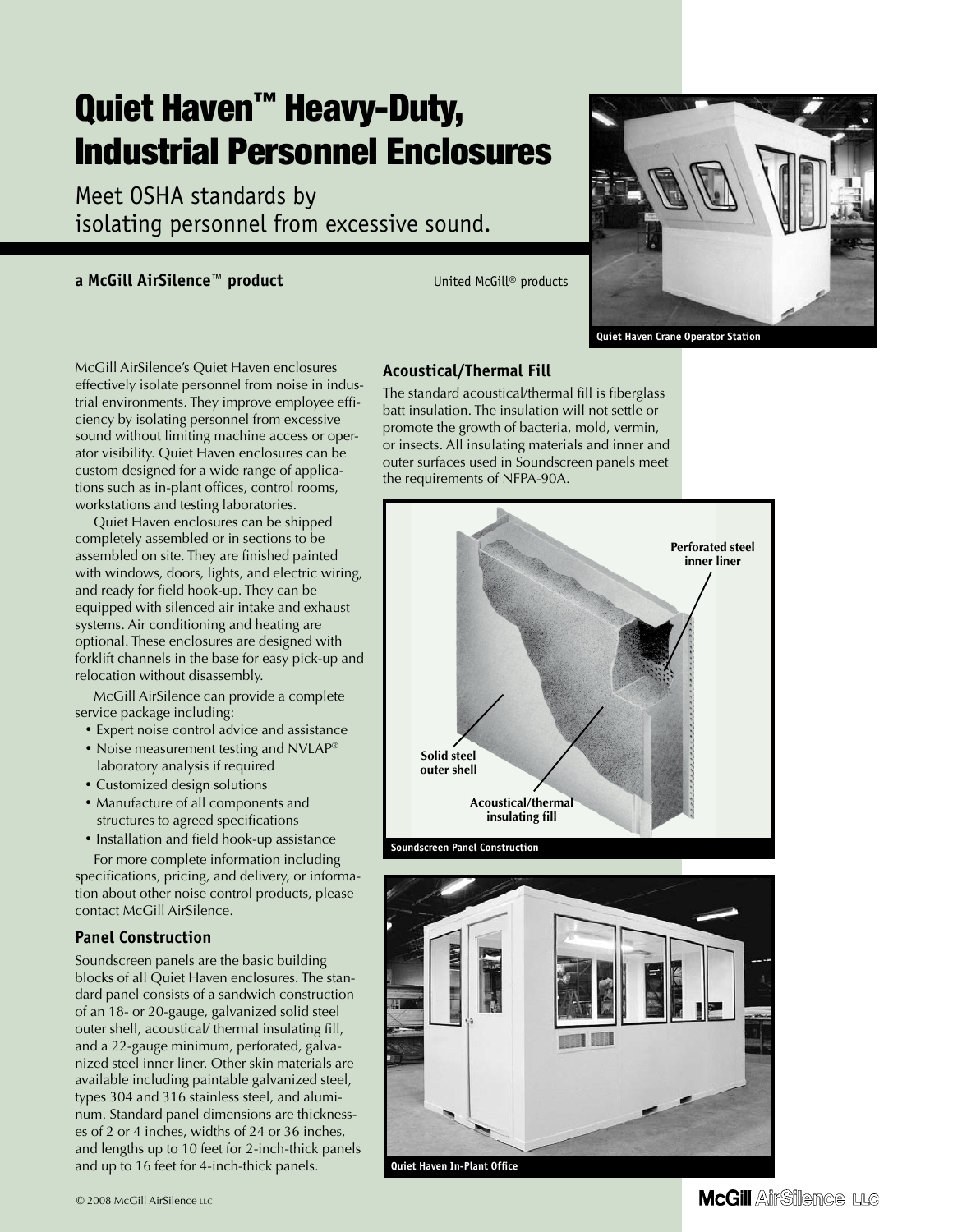# Quiet Haven<sup>™</sup> Heavy-Duty, Industrial Personnel Enclosures

Meet OSHA standards by isolating personnel from excessive sound.

#### **a McGill AirSilence™ product** United McGill® products



 **Quiet Haven Crane Operator Station**

McGill AirSilence's Quiet Haven enclosures effectively isolate personnel from noise in industrial environments. They improve employee efficiency by isolating personnel from excessive sound without limiting machine access or operator visibility. Quiet Haven enclosures can be custom designed for a wide range of applications such as in-plant offices, control rooms, workstations and testing laboratories.

Quiet Haven enclosures can be shipped completely assembled or in sections to be assembled on site. They are finished painted with windows, doors, lights, and electric wiring, and ready for field hook-up. They can be equipped with silenced air intake and exhaust systems. Air conditioning and heating are optional. These enclosures are designed with forklift channels in the base for easy pick-up and relocation without disassembly.

McGill AirSilence can provide a complete service package including:

- Expert noise control advice and assistance
- Noise measurement testing and NVLAP<sup>®</sup> laboratory analysis if required
- Customized design solutions
- Manufacture of all components and structures to agreed specifications
- Installation and field hook-up assistance

For more complete information including specifications, pricing, and delivery, or information about other noise control products, please contact McGill AirSilence.

### **Panel Construction**

Soundscreen panels are the basic building blocks of all Quiet Haven enclosures. The standard panel consists of a sandwich construction of an 18- or 20-gauge, galvanized solid steel outer shell, acoustical/ thermal insulating fill, and a 22-gauge minimum, perforated, galvanized steel inner liner. Other skin materials are available including paintable galvanized steel, types 304 and 316 stainless steel, and aluminum. Standard panel dimensions are thicknesses of 2 or 4 inches, widths of 24 or 36 inches, and lengths up to 10 feet for 2-inch-thick panels and up to 16 feet for 4-inch-thick panels.

#### **Acoustical/Thermal Fill**

The standard acoustical/thermal fill is fiberglass batt insulation. The insulation will not settle or promote the growth of bacteria, mold, vermin, or insects. All insulating materials and inner and outer surfaces used in Soundscreen panels meet the requirements of NFPA-90A.



 **Soundscreen Panel Construction**